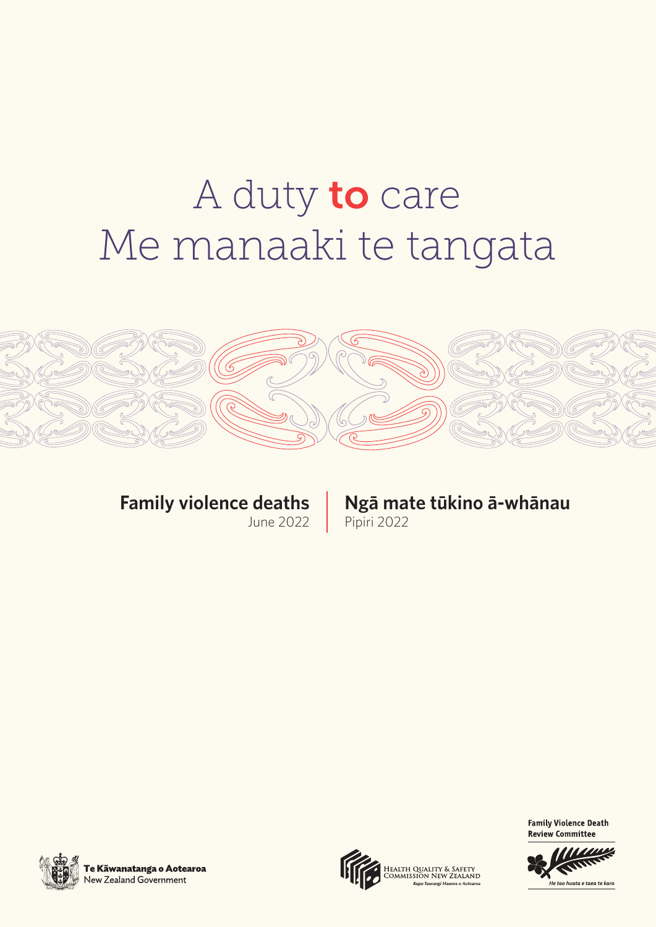# A duty to care Me manaaki te tangata



# **Family violence deaths**

June 2022

# **Ngā mate tūkino ā-whānau**

Pipiri 2022



Te Kāwanatanga o Aotearoa New Zealand Government



ealth Quality & Safety<br>dmmission New Zealand



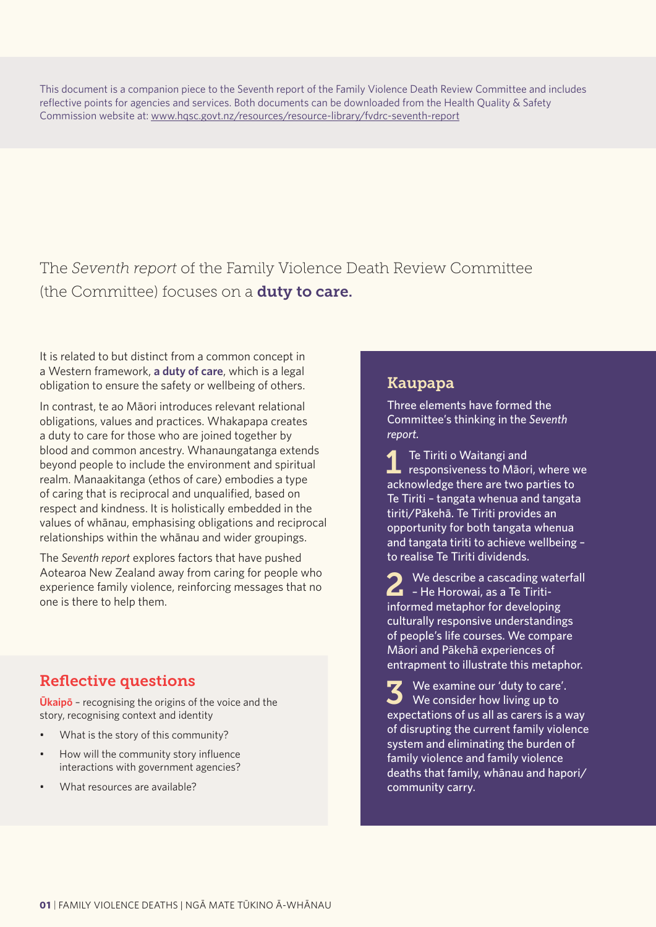This document is a companion piece to the Seventh report of the Family Violence Death Review Committee and includes reflective points for agencies and services. Both documents can be downloaded from the Health Quality & Safety Commission website at: www.hqsc.govt.nz/resources/resource-library/fvdrc-seventh-report

The *Seventh report* of the Family Violence Death Review Committee (the Committee) focuses on a **duty to care.** 

It is related to but distinct from a common concept in a Western framework, **a duty of care**, which is a legal obligation to ensure the safety or wellbeing of others.

In contrast, te ao Māori introduces relevant relational obligations, values and practices. Whakapapa creates a duty to care for those who are joined together by blood and common ancestry. Whanaungatanga extends beyond people to include the environment and spiritual realm. Manaakitanga (ethos of care) embodies a type of caring that is reciprocal and unqualified, based on respect and kindness. It is holistically embedded in the values of whānau, emphasising obligations and reciprocal relationships within the whānau and wider groupings.

The *Seventh report* explores factors that have pushed Aotearoa New Zealand away from caring for people who experience family violence, reinforcing messages that no one is there to help them.

# Reflective questions

**Ūkaipō** – recognising the origins of the voice and the story, recognising context and identity

- What is the story of this community?
- How will the community story influence interactions with government agencies?
- What resources are available?

# Kaupapa

Three elements have formed the Committee's thinking in the *Seventh report.* 

1 Te Tiriti o Waitangi and responsiveness to Māori, where we acknowledge there are two parties to Te Tiriti – tangata whenua and tangata tiriti/Pākehā. Te Tiriti provides an opportunity for both tangata whenua and tangata tiriti to achieve wellbeing – to realise Te Tiriti dividends.

 $\bigcirc$  We describe a cascading waterfall  $\sum$  – He Horowai, as a Te Tiritiinformed metaphor for developing culturally responsive understandings of people's life courses. We compare Māori and Pākehā experiences of entrapment to illustrate this metaphor.

3 We examine our 'duty to care'. We consider how living up to expectations of us all as carers is a way of disrupting the current family violence system and eliminating the burden of family violence and family violence deaths that family, whānau and hapori/ community carry.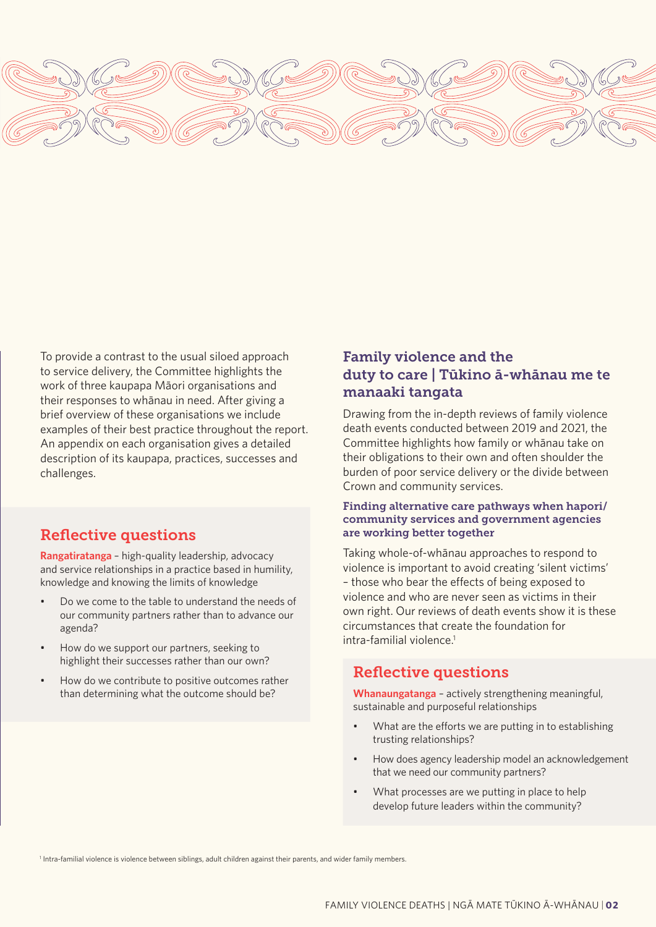

To provide a contrast to the usual siloed approach to service delivery, the Committee highlights the work of three kaupapa Māori organisations and their responses to whānau in need. After giving a brief overview of these organisations we include examples of their best practice throughout the report. An appendix on each organisation gives a detailed description of its kaupapa, practices, successes and challenges.

# Reflective questions

**Rangatiratanga** – high-quality leadership, advocacy and service relationships in a practice based in humility, knowledge and knowing the limits of knowledge

- Do we come to the table to understand the needs of our community partners rather than to advance our agenda?
- How do we support our partners, seeking to highlight their successes rather than our own?
- How do we contribute to positive outcomes rather than determining what the outcome should be?

# Family violence and the duty to care | Tūkino ā-whānau me te manaaki tangata

Drawing from the in-depth reviews of family violence death events conducted between 2019 and 2021, the Committee highlights how family or whānau take on their obligations to their own and often shoulder the burden of poor service delivery or the divide between Crown and community services.

#### Finding alternative care pathways when hapori/ community services and government agencies are working better together

Taking whole-of-whānau approaches to respond to violence is important to avoid creating 'silent victims' – those who bear the effects of being exposed to violence and who are never seen as victims in their own right. Our reviews of death events show it is these circumstances that create the foundation for intra-familial violence.<sup>1</sup>

## Reflective questions

**Whanaungatanga** – actively strengthening meaningful, sustainable and purposeful relationships

- What are the efforts we are putting in to establishing trusting relationships?
- How does agency leadership model an acknowledgement that we need our community partners?
- What processes are we putting in place to help develop future leaders within the community?

1 Intra-familial violence is violence between siblings, adult children against their parents, and wider family members.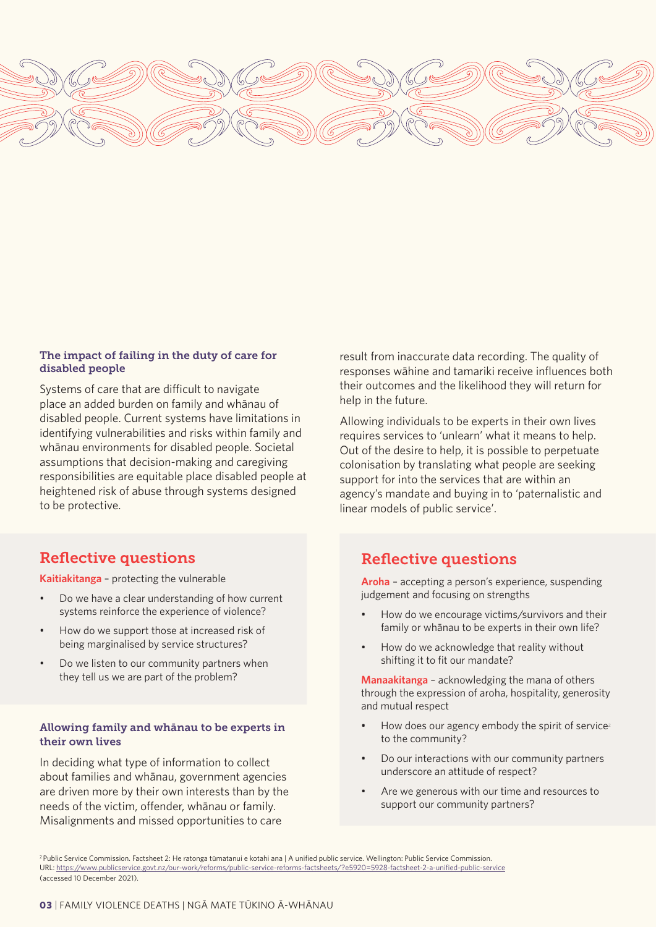

#### The impact of failing in the duty of care for disabled people

Systems of care that are difficult to navigate place an added burden on family and whānau of disabled people. Current systems have limitations in identifying vulnerabilities and risks within family and whānau environments for disabled people. Societal assumptions that decision-making and caregiving responsibilities are equitable place disabled people at heightened risk of abuse through systems designed to be protective.

# Reflective questions

**Kaitiakitanga** – protecting the vulnerable

- Do we have a clear understanding of how current systems reinforce the experience of violence?
- How do we support those at increased risk of being marginalised by service structures?
- Do we listen to our community partners when they tell us we are part of the problem?

#### Allowing family and whānau to be experts in their own lives

In deciding what type of information to collect about families and whānau, government agencies are driven more by their own interests than by the needs of the victim, offender, whānau or family. Misalignments and missed opportunities to care

result from inaccurate data recording. The quality of responses wāhine and tamariki receive influences both their outcomes and the likelihood they will return for help in the future.

Allowing individuals to be experts in their own lives requires services to 'unlearn' what it means to help. Out of the desire to help, it is possible to perpetuate colonisation by translating what people are seeking support for into the services that are within an agency's mandate and buying in to 'paternalistic and linear models of public service'.

# Reflective questions

**Aroha** – accepting a person's experience, suspending judgement and focusing on strengths

- How do we encourage victims/survivors and their family or whānau to be experts in their own life?
- How do we acknowledge that reality without shifting it to fit our mandate?

**Manaakitanga** – acknowledging the mana of others through the expression of aroha, hospitality, generosity and mutual respect

- How does our agency embody the spirit of service<sup>2</sup> to the community?
- Do our interactions with our community partners underscore an attitude of respect?
- Are we generous with our time and resources to support our community partners?

<sup>2</sup>Public Service Commission. Factsheet 2: He ratonga tūmatanui e kotahi ana | A unified public service. Wellington: Public Service Commission. URL: https://www.publicservice.govt.nz/our-work/reforms/public-service-reforms-factsheets/?e5920=5928-factsheet-2-a-unified-public-service (accessed 10 December 2021).